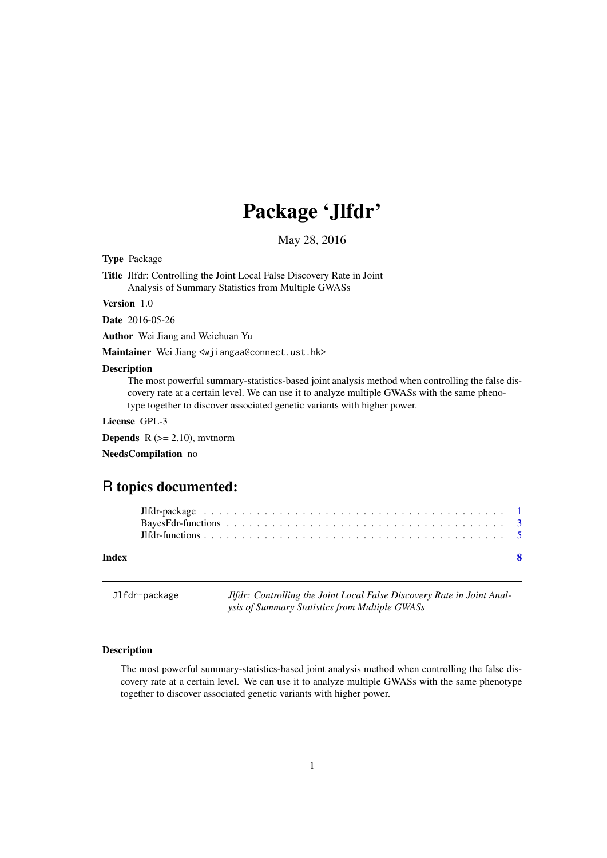# Package 'Jlfdr'

May 28, 2016

<span id="page-0-1"></span><span id="page-0-0"></span>Type Package

Title Jlfdr: Controlling the Joint Local False Discovery Rate in Joint Analysis of Summary Statistics from Multiple GWASs

#### Version 1.0

Date 2016-05-26

Author Wei Jiang and Weichuan Yu

Maintainer Wei Jiang <wjiangaa@connect.ust.hk>

#### Description

The most powerful summary-statistics-based joint analysis method when controlling the false discovery rate at a certain level. We can use it to analyze multiple GWASs with the same phenotype together to discover associated genetic variants with higher power.

#### License GPL-3

**Depends**  $R$  ( $>= 2.10$ ), mythorm

NeedsCompilation no

# R topics documented:

#### **Index** [8](#page-7-0) **8**

Jlfdr-package *Jlfdr: Controlling the Joint Local False Discovery Rate in Joint Analysis of Summary Statistics from Multiple GWASs*

#### <span id="page-0-2"></span>Description

The most powerful summary-statistics-based joint analysis method when controlling the false discovery rate at a certain level. We can use it to analyze multiple GWASs with the same phenotype together to discover associated genetic variants with higher power.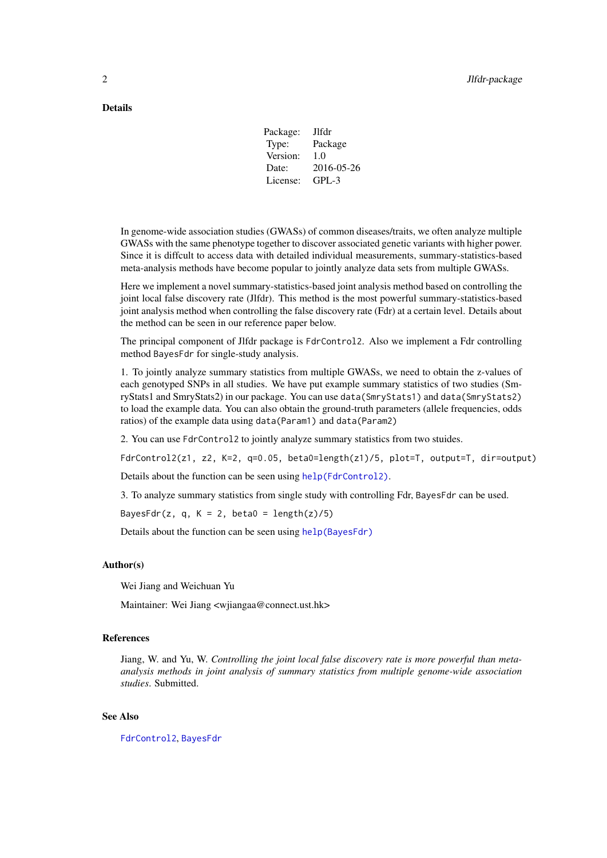# <span id="page-1-0"></span>Details

| Jlfdr      |
|------------|
| Package    |
| 1.0        |
| 2016-05-26 |
| GPL-3      |
|            |

In genome-wide association studies (GWASs) of common diseases/traits, we often analyze multiple GWASs with the same phenotype together to discover associated genetic variants with higher power. Since it is diffcult to access data with detailed individual measurements, summary-statistics-based meta-analysis methods have become popular to jointly analyze data sets from multiple GWASs.

Here we implement a novel summary-statistics-based joint analysis method based on controlling the joint local false discovery rate (Jlfdr). This method is the most powerful summary-statistics-based joint analysis method when controlling the false discovery rate (Fdr) at a certain level. Details about the method can be seen in our reference paper below.

The principal component of Jlfdr package is FdrControl2. Also we implement a Fdr controlling method BayesFdr for single-study analysis.

1. To jointly analyze summary statistics from multiple GWASs, we need to obtain the z-values of each genotyped SNPs in all studies. We have put example summary statistics of two studies (SmryStats1 and SmryStats2) in our package. You can use data(SmryStats1) and data(SmryStats2) to load the example data. You can also obtain the ground-truth parameters (allele frequencies, odds ratios) of the example data using data(Param1) and data(Param2)

2. You can use FdrControl2 to jointly analyze summary statistics from two stuides.

FdrControl2(z1, z2, K=2, q=0.05, beta0=length(z1)/5, plot=T, output=T, dir=output)

Details about the function can be seen using [help\(FdrControl2\)](#page-0-1).

3. To analyze summary statistics from single study with controlling Fdr, BayesFdr can be used.

BayesFdr(z, q, K = 2, beta0 =  $length(z)/5)$ 

Details about the function can be seen using [help\(BayesFdr\)](#page-0-1)

#### Author(s)

Wei Jiang and Weichuan Yu

Maintainer: Wei Jiang <wjiangaa@connect.ust.hk>

#### References

Jiang, W. and Yu, W. *Controlling the joint local false discovery rate is more powerful than metaanalysis methods in joint analysis of summary statistics from multiple genome-wide association studies*. Submitted.

#### See Also

[FdrControl2](#page-4-1), [BayesFdr](#page-2-1)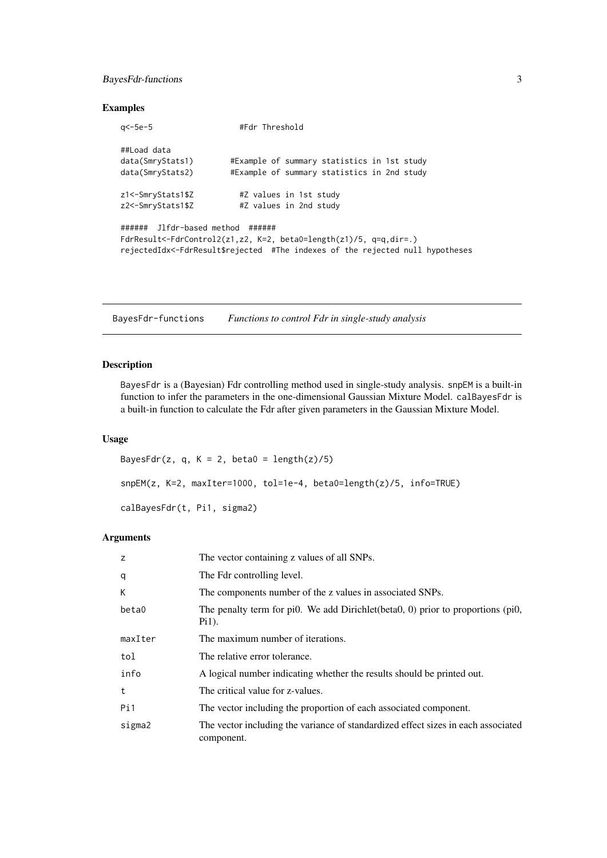# <span id="page-2-0"></span>BayesFdr-functions 3

#### Examples

| $a$ $-5e$ $-5$                                                                                                                                                                          | #Fdr Threshold                                   |  |
|-----------------------------------------------------------------------------------------------------------------------------------------------------------------------------------------|--------------------------------------------------|--|
| ##Load data                                                                                                                                                                             |                                                  |  |
| data(SmryStats1)                                                                                                                                                                        | #Example of summary statistics in 1st study      |  |
| data(SmryStats2)                                                                                                                                                                        | #Example of summary statistics in 2nd study      |  |
| z1<-SmryStats1\$Z<br>z2<-SmryStats1\$Z                                                                                                                                                  | #Z values in 1st study<br>#Z values in 2nd study |  |
|                                                                                                                                                                                         |                                                  |  |
| ####### Jlfdr-based method ######<br>FdrResult<-FdrControl2(z1,z2, K=2, beta0=length(z1)/5, q=q,dir=.)<br>rejectedIdx<-FdrResult\$rejected #The indexes of the rejected null hypotheses |                                                  |  |

BayesFdr-functions *Functions to control Fdr in single-study analysis*

# <span id="page-2-1"></span>Description

BayesFdr is a (Bayesian) Fdr controlling method used in single-study analysis. snpEM is a built-in function to infer the parameters in the one-dimensional Gaussian Mixture Model. calBayesFdr is a built-in function to calculate the Fdr after given parameters in the Gaussian Mixture Model.

# Usage

```
BayesFdr(z, q, K = 2, beta0 = length(z)/5)
snpEM(z, K=2, maxIter=1000, tol=1e-4, beta0=length(z)/5, info=TRUE)
calBayesFdr(t, Pi1, sigma2)
```
### Arguments

| z       | The vector containing z values of all SNPs.                                                     |
|---------|-------------------------------------------------------------------------------------------------|
| q       | The Fdr controlling level.                                                                      |
| К       | The components number of the z values in associated SNPs.                                       |
| beta0   | The penalty term for pi0. We add Dirichlet (beta0, 0) prior to proportions (pi0,<br>$P_{11}$ ). |
| maxIter | The maximum number of iterations.                                                               |
| tol     | The relative error tolerance.                                                                   |
| info    | A logical number indicating whether the results should be printed out.                          |
| t       | The critical value for z-values.                                                                |
| Pi1     | The vector including the proportion of each associated component.                               |
| sigma2  | The vector including the variance of standardized effect sizes in each associated<br>component. |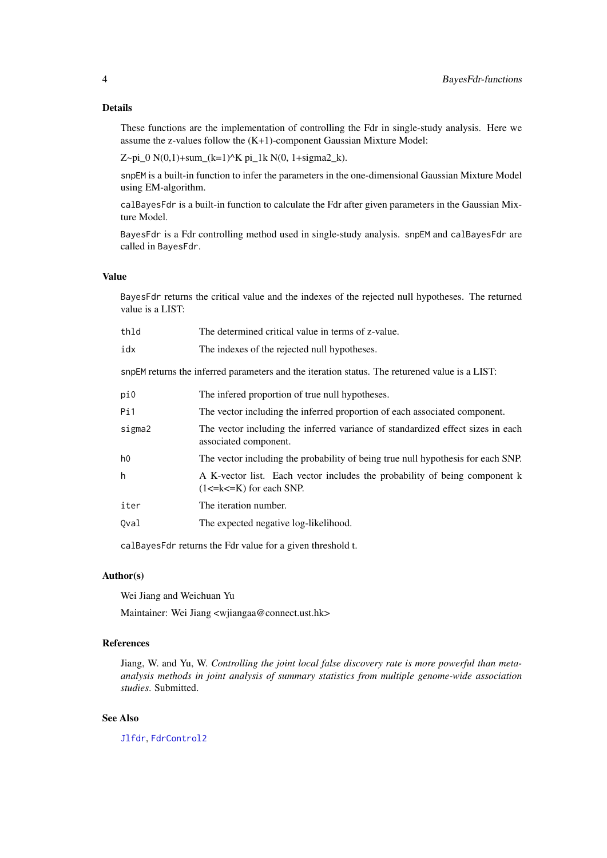<span id="page-3-0"></span>These functions are the implementation of controlling the Fdr in single-study analysis. Here we assume the z-values follow the (K+1)-component Gaussian Mixture Model:

Z~pi\_0  $N(0,1)$ +sum\_(k=1)^K pi\_1k  $N(0, 1+sigma2_k)$ .

snpEM is a built-in function to infer the parameters in the one-dimensional Gaussian Mixture Model using EM-algorithm.

calBayesFdr is a built-in function to calculate the Fdr after given parameters in the Gaussian Mixture Model.

BayesFdr is a Fdr controlling method used in single-study analysis. snpEM and calBayesFdr are called in BayesFdr.

# Value

BayesFdr returns the critical value and the indexes of the rejected null hypotheses. The returned value is a LIST:

| thld                                                                                           | The determined critical value in terms of z-value.                                                            |  |
|------------------------------------------------------------------------------------------------|---------------------------------------------------------------------------------------------------------------|--|
| idx                                                                                            | The indexes of the rejected null hypotheses.                                                                  |  |
| snpEM returns the inferred parameters and the iteration status. The returened value is a LIST: |                                                                                                               |  |
| pi0                                                                                            | The infered proportion of true null hypotheses.                                                               |  |
| Pi1                                                                                            | The vector including the inferred proportion of each associated component.                                    |  |
| sigma2                                                                                         | The vector including the inferred variance of standardized effect sizes in each<br>associated component.      |  |
| h <sub>0</sub>                                                                                 | The vector including the probability of being true null hypothesis for each SNP.                              |  |
| h                                                                                              | A K-vector list. Each vector includes the probability of being component k<br>$(1 \le k \le K)$ for each SNP. |  |
| iter                                                                                           | The iteration number.                                                                                         |  |
| Qval                                                                                           | The expected negative log-likelihood.                                                                         |  |

calBayesFdr returns the Fdr value for a given threshold t.

# Author(s)

Wei Jiang and Weichuan Yu

Maintainer: Wei Jiang <wjiangaa@connect.ust.hk>

# References

Jiang, W. and Yu, W. *Controlling the joint local false discovery rate is more powerful than metaanalysis methods in joint analysis of summary statistics from multiple genome-wide association studies*. Submitted.

# See Also

[Jlfdr](#page-0-2), [FdrControl2](#page-4-1)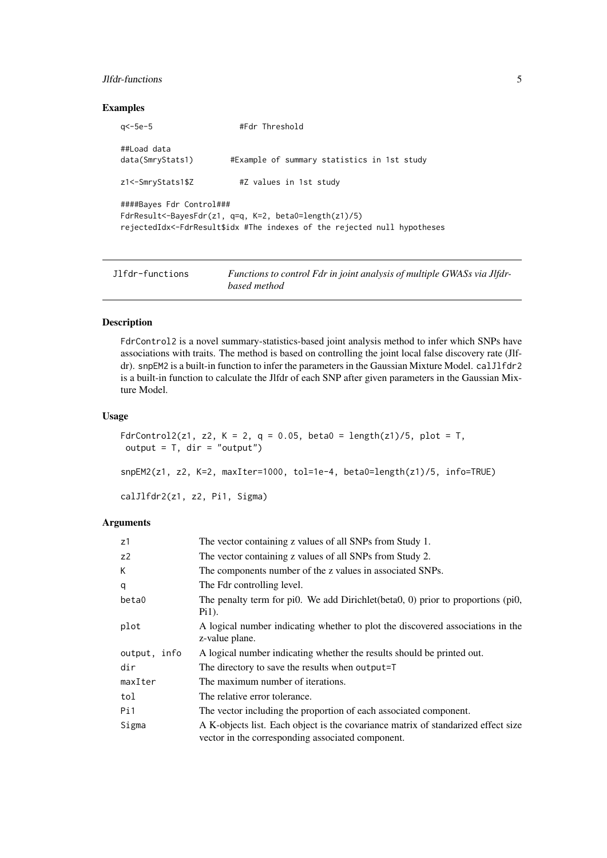#### <span id="page-4-0"></span>Jlfdr-functions 5

#### Examples

```
q<-5e-5 #Fdr Threshold
##Load data
data(SmryStats1) #Example of summary statistics in 1st study
z1<-SmryStats1$Z #Z values in 1st study
####Bayes Fdr Control###
FdrResult<-BayesFdr(z1, q=q, K=2, beta0=length(z1)/5)
rejectedIdx<-FdrResult$idx #The indexes of the rejected null hypotheses
```

| Jlfdr-functions | Functions to control Fdr in joint analysis of multiple GWASs via Jlfdr- |
|-----------------|-------------------------------------------------------------------------|
|                 | based method                                                            |

#### <span id="page-4-1"></span>Description

FdrControl2 is a novel summary-statistics-based joint analysis method to infer which SNPs have associations with traits. The method is based on controlling the joint local false discovery rate (Jlfdr). snpEM2 is a built-in function to infer the parameters in the Gaussian Mixture Model. calJlfdr2 is a built-in function to calculate the Jlfdr of each SNP after given parameters in the Gaussian Mixture Model.

# Usage

```
FdrControl2(z1, z2, K = 2, q = 0.05, beta0 = length(z1)/5, plot = T,
 output = T, dir = "output")snpEM2(z1, z2, K=2, maxIter=1000, tol=1e-4, beta0=length(z1)/5, info=TRUE)
calJlfdr2(z1, z2, Pi1, Sigma)
```
#### Arguments

| z1             | The vector containing z values of all SNPs from Study 1.                                                                               |
|----------------|----------------------------------------------------------------------------------------------------------------------------------------|
| Z <sup>2</sup> | The vector containing z values of all SNPs from Study 2.                                                                               |
| K              | The components number of the z values in associated SNPs.                                                                              |
| q              | The Fdr controlling level.                                                                                                             |
| beta0          | The penalty term for pi0. We add Dirichlet(beta0, 0) prior to proportions (pi0,<br>$P_{11}$ ).                                         |
| plot           | A logical number indicating whether to plot the discovered associations in the<br>z-value plane.                                       |
| output, info   | A logical number indicating whether the results should be printed out.                                                                 |
| dir            | The directory to save the results when output=T                                                                                        |
| maxIter        | The maximum number of iterations.                                                                                                      |
| tol            | The relative error tolerance.                                                                                                          |
| Pi1            | The vector including the proportion of each associated component.                                                                      |
| Sigma          | A K-objects list. Each object is the covariance matrix of standarized effect size<br>vector in the corresponding associated component. |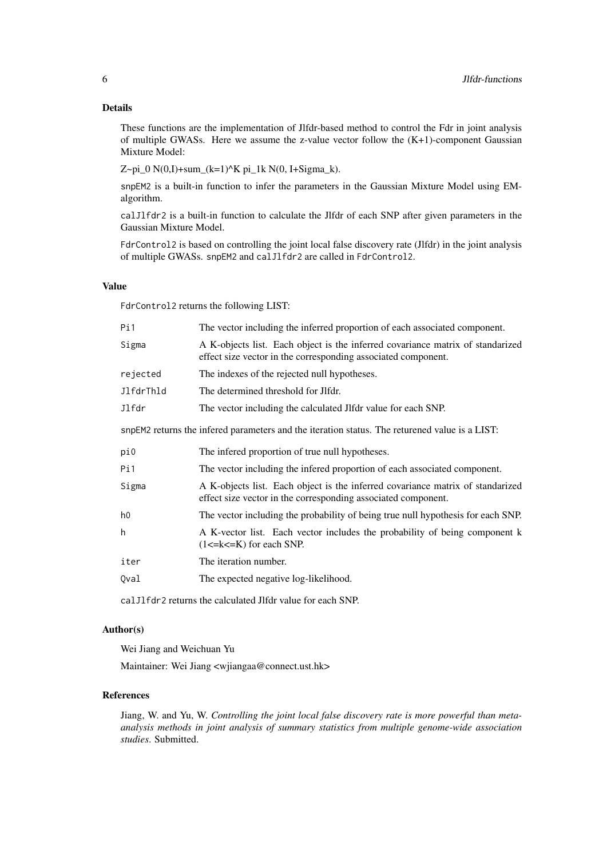# Details

These functions are the implementation of Jlfdr-based method to control the Fdr in joint analysis of multiple GWASs. Here we assume the z-value vector follow the  $(K+1)$ -component Gaussian Mixture Model:

Z~pi\_0  $N(0,I)$ +sum\_(k=1)^K pi\_1k  $N(0, I+Sigma_R)$ .

snpEM2 is a built-in function to infer the parameters in the Gaussian Mixture Model using EMalgorithm.

calJlfdr2 is a built-in function to calculate the Jlfdr of each SNP after given parameters in the Gaussian Mixture Model.

FdrControl2 is based on controlling the joint local false discovery rate (Jlfdr) in the joint analysis of multiple GWASs. snpEM2 and calJlfdr2 are called in FdrControl2.

#### Value

FdrControl2 returns the following LIST:

| Pi1                                                                                            | The vector including the inferred proportion of each associated component.                                                                      |  |
|------------------------------------------------------------------------------------------------|-------------------------------------------------------------------------------------------------------------------------------------------------|--|
| Sigma                                                                                          | A K-objects list. Each object is the inferred covariance matrix of standarized<br>effect size vector in the corresponding associated component. |  |
| rejected                                                                                       | The indexes of the rejected null hypotheses.                                                                                                    |  |
| JlfdrThld                                                                                      | The determined threshold for Jlfdr.                                                                                                             |  |
| Jlfdr                                                                                          | The vector including the calculated Jlfdr value for each SNP.                                                                                   |  |
| snpEM2 returns the infered parameters and the iteration status. The returened value is a LIST: |                                                                                                                                                 |  |
| pi0                                                                                            | The infered proportion of true null hypotheses.                                                                                                 |  |
| Pi1                                                                                            | The vector including the infered proportion of each associated component.                                                                       |  |
| Sigma                                                                                          | A K-objects list. Each object is the inferred covariance matrix of standarized<br>effect size vector in the corresponding associated component. |  |
| h <sub>0</sub>                                                                                 | The vector including the probability of being true null hypothesis for each SNP.                                                                |  |
| h                                                                                              | A K-vector list. Each vector includes the probability of being component k<br>$(1 \le k \le K)$ for each SNP.                                   |  |
| iter                                                                                           | The iteration number.                                                                                                                           |  |
| Qval                                                                                           | The expected negative log-likelihood.                                                                                                           |  |
| cal J1fdr2 returns the calculated J1fdr value for each SNP.                                    |                                                                                                                                                 |  |

# Author(s)

Wei Jiang and Weichuan Yu

Maintainer: Wei Jiang <wjiangaa@connect.ust.hk>

# References

Jiang, W. and Yu, W. *Controlling the joint local false discovery rate is more powerful than metaanalysis methods in joint analysis of summary statistics from multiple genome-wide association studies*. Submitted.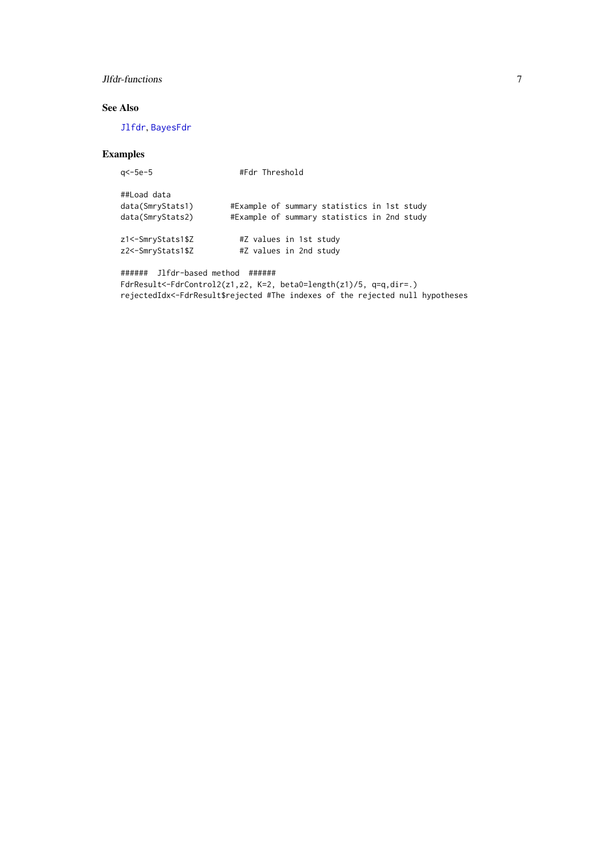# <span id="page-6-0"></span>Jlfdr-functions 7

# See Also

[Jlfdr](#page-0-2), [BayesFdr](#page-2-1)

# Examples

| a<-5e-5                                             | #Fdr Threshold                                                                             |
|-----------------------------------------------------|--------------------------------------------------------------------------------------------|
| ##Load data<br>data(SmryStats1)<br>data(SmryStats2) | #Example of summary statistics in 1st study<br>#Example of summary statistics in 2nd study |
| z1<-SmryStats1\$Z<br>z2<-SmryStats1\$Z              | #Z values in 1st study<br>#Z values in 2nd study                                           |

```
###### Jlfdr-based method ######
FdrResult<-FdrControl2(z1,z2, K=2, beta0=length(z1)/5, q=q,dir=.)
rejectedIdx<-FdrResult$rejected #The indexes of the rejected null hypotheses
```